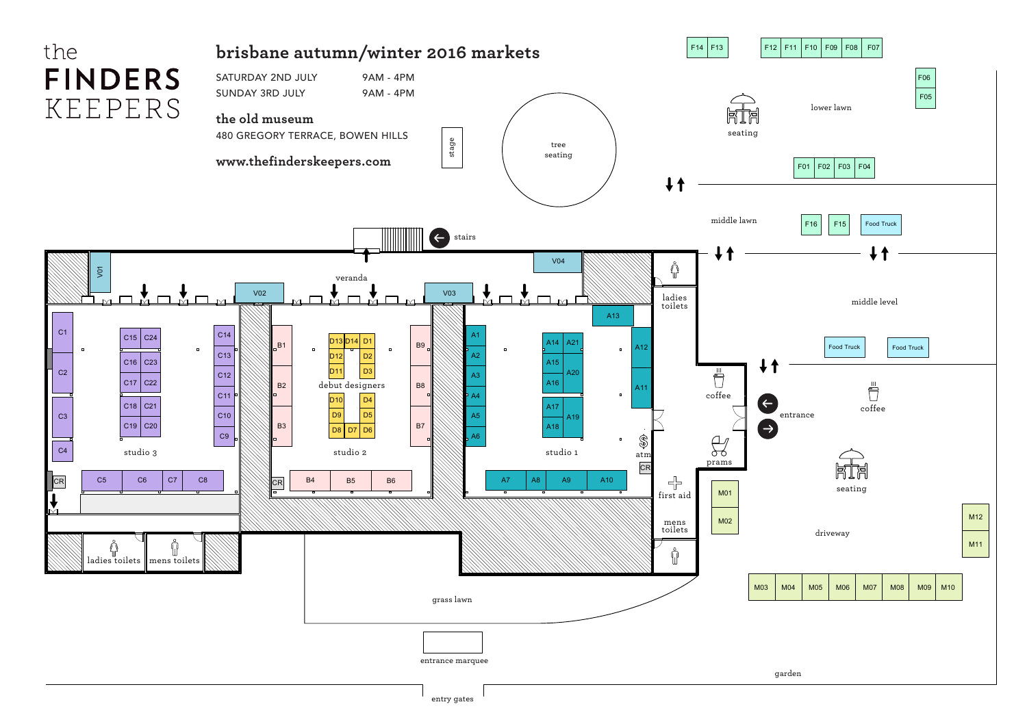